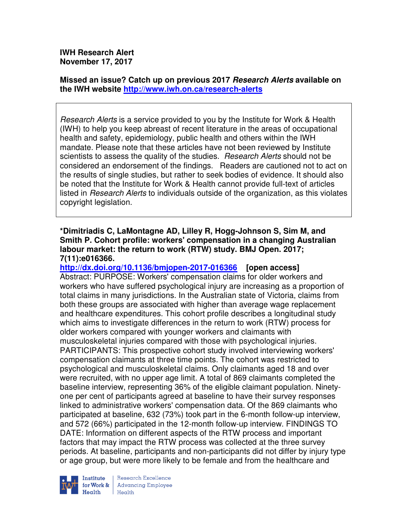**IWH Research Alert November 17, 2017** 

**Missed an issue? Catch up on previous 2017 Research Alerts available on the IWH website http://www.iwh.on.ca/research-alerts**

Research Alerts is a service provided to you by the Institute for Work & Health (IWH) to help you keep abreast of recent literature in the areas of occupational health and safety, epidemiology, public health and others within the IWH mandate. Please note that these articles have not been reviewed by Institute scientists to assess the quality of the studies. Research Alerts should not be considered an endorsement of the findings. Readers are cautioned not to act on the results of single studies, but rather to seek bodies of evidence. It should also be noted that the Institute for Work & Health cannot provide full-text of articles listed in *Research Alerts* to individuals outside of the organization, as this violates copyright legislation.

## **\*Dimitriadis C, LaMontagne AD, Lilley R, Hogg-Johnson S, Sim M, and Smith P. Cohort profile: workers' compensation in a changing Australian labour market: the return to work (RTW) study. BMJ Open. 2017; 7(11):e016366.**

**http://dx.doi.org/10.1136/bmjopen-2017-016366 [open access]** Abstract: PURPOSE: Workers' compensation claims for older workers and workers who have suffered psychological injury are increasing as a proportion of total claims in many jurisdictions. In the Australian state of Victoria, claims from both these groups are associated with higher than average wage replacement and healthcare expenditures. This cohort profile describes a longitudinal study which aims to investigate differences in the return to work (RTW) process for older workers compared with younger workers and claimants with musculoskeletal injuries compared with those with psychological injuries. PARTICIPANTS: This prospective cohort study involved interviewing workers' compensation claimants at three time points. The cohort was restricted to psychological and musculoskeletal claims. Only claimants aged 18 and over were recruited, with no upper age limit. A total of 869 claimants completed the baseline interview, representing 36% of the eligible claimant population. Ninetyone per cent of participants agreed at baseline to have their survey responses linked to administrative workers' compensation data. Of the 869 claimants who participated at baseline, 632 (73%) took part in the 6-month follow-up interview, and 572 (66%) participated in the 12-month follow-up interview. FINDINGS TO DATE: Information on different aspects of the RTW process and important factors that may impact the RTW process was collected at the three survey periods. At baseline, participants and non-participants did not differ by injury type or age group, but were more likely to be female and from the healthcare and



Research Excellence **Advancing Employee** Health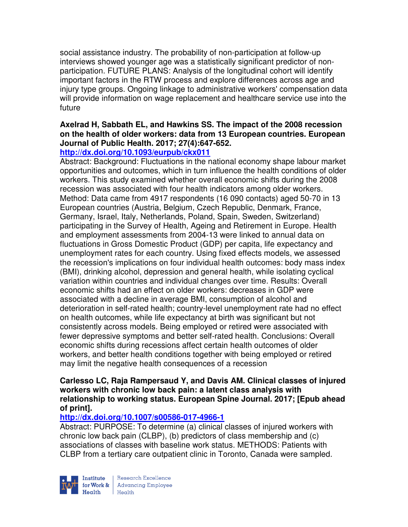social assistance industry. The probability of non-participation at follow-up interviews showed younger age was a statistically significant predictor of nonparticipation. FUTURE PLANS: Analysis of the longitudinal cohort will identify important factors in the RTW process and explore differences across age and injury type groups. Ongoing linkage to administrative workers' compensation data will provide information on wage replacement and healthcare service use into the future

# **Axelrad H, Sabbath EL, and Hawkins SS. The impact of the 2008 recession on the health of older workers: data from 13 European countries. European Journal of Public Health. 2017; 27(4):647-652.**

## **http://dx.doi.org/10.1093/eurpub/ckx011**

Abstract: Background: Fluctuations in the national economy shape labour market opportunities and outcomes, which in turn influence the health conditions of older workers. This study examined whether overall economic shifts during the 2008 recession was associated with four health indicators among older workers. Method: Data came from 4917 respondents (16 090 contacts) aged 50-70 in 13 European countries (Austria, Belgium, Czech Republic, Denmark, France, Germany, Israel, Italy, Netherlands, Poland, Spain, Sweden, Switzerland) participating in the Survey of Health, Ageing and Retirement in Europe. Health and employment assessments from 2004-13 were linked to annual data on fluctuations in Gross Domestic Product (GDP) per capita, life expectancy and unemployment rates for each country. Using fixed effects models, we assessed the recession's implications on four individual health outcomes: body mass index (BMI), drinking alcohol, depression and general health, while isolating cyclical variation within countries and individual changes over time. Results: Overall economic shifts had an effect on older workers: decreases in GDP were associated with a decline in average BMI, consumption of alcohol and deterioration in self-rated health; country-level unemployment rate had no effect on health outcomes, while life expectancy at birth was significant but not consistently across models. Being employed or retired were associated with fewer depressive symptoms and better self-rated health. Conclusions: Overall economic shifts during recessions affect certain health outcomes of older workers, and better health conditions together with being employed or retired may limit the negative health consequences of a recession

#### **Carlesso LC, Raja Rampersaud Y, and Davis AM. Clinical classes of injured workers with chronic low back pain: a latent class analysis with relationship to working status. European Spine Journal. 2017; [Epub ahead of print].**

# **http://dx.doi.org/10.1007/s00586-017-4966-1**

Abstract: PURPOSE: To determine (a) clinical classes of injured workers with chronic low back pain (CLBP), (b) predictors of class membership and (c) associations of classes with baseline work status. METHODS: Patients with CLBP from a tertiary care outpatient clinic in Toronto, Canada were sampled.



Research Excellence for Work & | Advancing Employee  $Heath$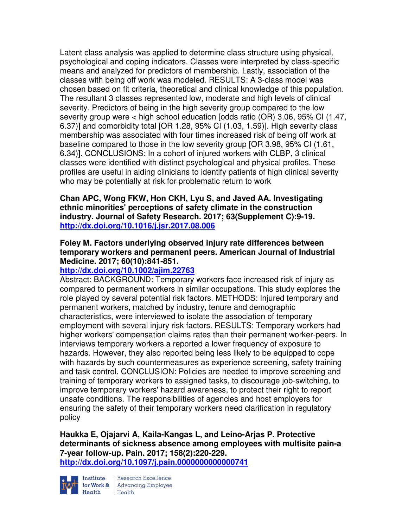Latent class analysis was applied to determine class structure using physical, psychological and coping indicators. Classes were interpreted by class-specific means and analyzed for predictors of membership. Lastly, association of the classes with being off work was modeled. RESULTS: A 3-class model was chosen based on fit criteria, theoretical and clinical knowledge of this population. The resultant 3 classes represented low, moderate and high levels of clinical severity. Predictors of being in the high severity group compared to the low severity group were < high school education [odds ratio (OR) 3.06, 95% CI (1.47, 6.37)] and comorbidity total [OR 1.28, 95% CI (1.03, 1.59)]. High severity class membership was associated with four times increased risk of being off work at baseline compared to those in the low severity group [OR 3.98, 95% CI (1.61, 6.34)]. CONCLUSIONS: In a cohort of injured workers with CLBP, 3 clinical classes were identified with distinct psychological and physical profiles. These profiles are useful in aiding clinicians to identify patients of high clinical severity who may be potentially at risk for problematic return to work

**Chan APC, Wong FKW, Hon CKH, Lyu S, and Javed AA. Investigating ethnic minorities' perceptions of safety climate in the construction industry. Journal of Safety Research. 2017; 63(Supplement C):9-19. http://dx.doi.org/10.1016/j.jsr.2017.08.006** 

## **Foley M. Factors underlying observed injury rate differences between temporary workers and permanent peers. American Journal of Industrial Medicine. 2017; 60(10):841-851.**

# **http://dx.doi.org/10.1002/ajim.22763**

Abstract: BACKGROUND: Temporary workers face increased risk of injury as compared to permanent workers in similar occupations. This study explores the role played by several potential risk factors. METHODS: Injured temporary and permanent workers, matched by industry, tenure and demographic characteristics, were interviewed to isolate the association of temporary employment with several injury risk factors. RESULTS: Temporary workers had higher workers' compensation claims rates than their permanent worker-peers. In interviews temporary workers a reported a lower frequency of exposure to hazards. However, they also reported being less likely to be equipped to cope with hazards by such countermeasures as experience screening, safety training and task control. CONCLUSION: Policies are needed to improve screening and training of temporary workers to assigned tasks, to discourage job-switching, to improve temporary workers' hazard awareness, to protect their right to report unsafe conditions. The responsibilities of agencies and host employers for ensuring the safety of their temporary workers need clarification in regulatory policy

**Haukka E, Ojajarvi A, Kaila-Kangas L, and Leino-Arjas P. Protective determinants of sickness absence among employees with multisite pain-a 7-year follow-up. Pain. 2017; 158(2):220-229. http://dx.doi.org/10.1097/j.pain.0000000000000741** 



Institute Research Excellence<br>for Work & Advancing Employee<br>Health Health Health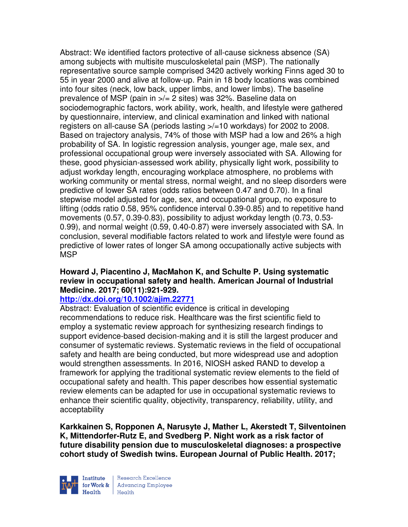Abstract: We identified factors protective of all-cause sickness absence (SA) among subjects with multisite musculoskeletal pain (MSP). The nationally representative source sample comprised 3420 actively working Finns aged 30 to 55 in year 2000 and alive at follow-up. Pain in 18 body locations was combined into four sites (neck, low back, upper limbs, and lower limbs). The baseline prevalence of MSP (pain in >/= 2 sites) was 32%. Baseline data on sociodemographic factors, work ability, work, health, and lifestyle were gathered by questionnaire, interview, and clinical examination and linked with national registers on all-cause SA (periods lasting >/=10 workdays) for 2002 to 2008. Based on trajectory analysis, 74% of those with MSP had a low and 26% a high probability of SA. In logistic regression analysis, younger age, male sex, and professional occupational group were inversely associated with SA. Allowing for these, good physician-assessed work ability, physically light work, possibility to adjust workday length, encouraging workplace atmosphere, no problems with working community or mental stress, normal weight, and no sleep disorders were predictive of lower SA rates (odds ratios between 0.47 and 0.70). In a final stepwise model adjusted for age, sex, and occupational group, no exposure to lifting (odds ratio 0.58, 95% confidence interval 0.39-0.85) and to repetitive hand movements (0.57, 0.39-0.83), possibility to adjust workday length (0.73, 0.53- 0.99), and normal weight (0.59, 0.40-0.87) were inversely associated with SA. In conclusion, several modifiable factors related to work and lifestyle were found as predictive of lower rates of longer SA among occupationally active subjects with MSP

## **Howard J, Piacentino J, MacMahon K, and Schulte P. Using systematic review in occupational safety and health. American Journal of Industrial Medicine. 2017; 60(11):921-929.**

#### **http://dx.doi.org/10.1002/ajim.22771**

Abstract: Evaluation of scientific evidence is critical in developing recommendations to reduce risk. Healthcare was the first scientific field to employ a systematic review approach for synthesizing research findings to support evidence-based decision-making and it is still the largest producer and consumer of systematic reviews. Systematic reviews in the field of occupational safety and health are being conducted, but more widespread use and adoption would strengthen assessments. In 2016, NIOSH asked RAND to develop a framework for applying the traditional systematic review elements to the field of occupational safety and health. This paper describes how essential systematic review elements can be adapted for use in occupational systematic reviews to enhance their scientific quality, objectivity, transparency, reliability, utility, and acceptability

**Karkkainen S, Ropponen A, Narusyte J, Mather L, Akerstedt T, Silventoinen K, Mittendorfer-Rutz E, and Svedberg P. Night work as a risk factor of future disability pension due to musculoskeletal diagnoses: a prospective cohort study of Swedish twins. European Journal of Public Health. 2017;** 



Research Excellence for Work & | Advancing Employee Health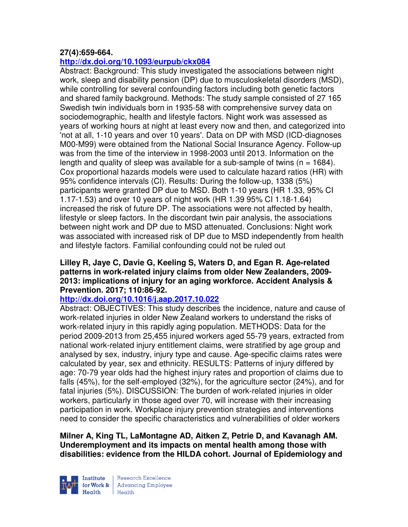## **27(4):659-664.**

# **http://dx.doi.org/10.1093/eurpub/ckx084**

Abstract: Background: This study investigated the associations between night work, sleep and disability pension (DP) due to musculoskeletal disorders (MSD), while controlling for several confounding factors including both genetic factors and shared family background. Methods: The study sample consisted of 27 165 Swedish twin individuals born in 1935-58 with comprehensive survey data on sociodemographic, health and lifestyle factors. Night work was assessed as years of working hours at night at least every now and then, and categorized into 'not at all, 1-10 years and over 10 years'. Data on DP with MSD (ICD-diagnoses M00-M99) were obtained from the National Social Insurance Agency. Follow-up was from the time of the interview in 1998-2003 until 2013. Information on the length and quality of sleep was available for a sub-sample of twins ( $n = 1684$ ). Cox proportional hazards models were used to calculate hazard ratios (HR) with 95% confidence intervals (CI). Results: During the follow-up, 1338 (5%) participants were granted DP due to MSD. Both 1-10 years (HR 1.33, 95% CI 1.17-1.53) and over 10 years of night work (HR 1.39 95% CI 1.18-1.64) increased the risk of future DP. The associations were not affected by health, lifestyle or sleep factors. In the discordant twin pair analysis, the associations between night work and DP due to MSD attenuated. Conclusions: Night work was associated with increased risk of DP due to MSD independently from health and lifestyle factors. Familial confounding could not be ruled out

#### **Lilley R, Jaye C, Davie G, Keeling S, Waters D, and Egan R. Age-related patterns in work-related injury claims from older New Zealanders, 2009- 2013: implications of injury for an aging workforce. Accident Analysis & Prevention. 2017; 110:86-92.**

#### **http://dx.doi.org/10.1016/j.aap.2017.10.022**

Abstract: OBJECTIVES: This study describes the incidence, nature and cause of work-related injuries in older New Zealand workers to understand the risks of work-related injury in this rapidly aging population. METHODS: Data for the period 2009-2013 from 25,455 injured workers aged 55-79 years, extracted from national work-related injury entitlement claims, were stratified by age group and analysed by sex, industry, injury type and cause. Age-specific claims rates were calculated by year, sex and ethnicity. RESULTS: Patterns of injury differed by age: 70-79 year olds had the highest injury rates and proportion of claims due to falls (45%), for the self-employed (32%), for the agriculture sector (24%), and for fatal injuries (5%). DISCUSSION: The burden of work-related injuries in older workers, particularly in those aged over 70, will increase with their increasing participation in work. Workplace injury prevention strategies and interventions need to consider the specific characteristics and vulnerabilities of older workers

**Milner A, King TL, LaMontagne AD, Aitken Z, Petrie D, and Kavanagh AM. Underemployment and its impacts on mental health among those with disabilities: evidence from the HILDA cohort. Journal of Epidemiology and** 

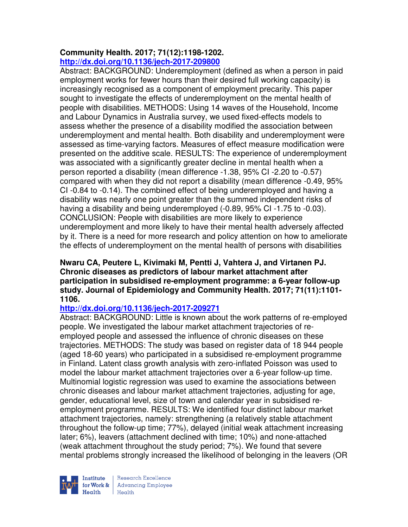# **Community Health. 2017; 71(12):1198-1202. http://dx.doi.org/10.1136/jech-2017-209800**

Abstract: BACKGROUND: Underemployment (defined as when a person in paid employment works for fewer hours than their desired full working capacity) is increasingly recognised as a component of employment precarity. This paper sought to investigate the effects of underemployment on the mental health of people with disabilities. METHODS: Using 14 waves of the Household, Income and Labour Dynamics in Australia survey, we used fixed-effects models to assess whether the presence of a disability modified the association between underemployment and mental health. Both disability and underemployment were assessed as time-varying factors. Measures of effect measure modification were presented on the additive scale. RESULTS: The experience of underemployment was associated with a significantly greater decline in mental health when a person reported a disability (mean difference -1.38, 95% CI -2.20 to -0.57) compared with when they did not report a disability (mean difference -0.49, 95% CI -0.84 to -0.14). The combined effect of being underemployed and having a disability was nearly one point greater than the summed independent risks of having a disability and being underemployed (-0.89, 95% CI -1.75 to -0.03). CONCLUSION: People with disabilities are more likely to experience underemployment and more likely to have their mental health adversely affected by it. There is a need for more research and policy attention on how to ameliorate the effects of underemployment on the mental health of persons with disabilities

### **Nwaru CA, Peutere L, Kivimaki M, Pentti J, Vahtera J, and Virtanen PJ. Chronic diseases as predictors of labour market attachment after participation in subsidised re-employment programme: a 6-year follow-up study. Journal of Epidemiology and Community Health. 2017; 71(11):1101- 1106.**

# **http://dx.doi.org/10.1136/jech-2017-209271**

Abstract: BACKGROUND: Little is known about the work patterns of re-employed people. We investigated the labour market attachment trajectories of reemployed people and assessed the influence of chronic diseases on these trajectories. METHODS: The study was based on register data of 18 944 people (aged 18-60 years) who participated in a subsidised re-employment programme in Finland. Latent class growth analysis with zero-inflated Poisson was used to model the labour market attachment trajectories over a 6-year follow-up time. Multinomial logistic regression was used to examine the associations between chronic diseases and labour market attachment trajectories, adjusting for age, gender, educational level, size of town and calendar year in subsidised reemployment programme. RESULTS: We identified four distinct labour market attachment trajectories, namely: strengthening (a relatively stable attachment throughout the follow-up time; 77%), delayed (initial weak attachment increasing later; 6%), leavers (attachment declined with time; 10%) and none-attached (weak attachment throughout the study period; 7%). We found that severe mental problems strongly increased the likelihood of belonging in the leavers (OR



Research Excellence for Work & | Advancing Employee Health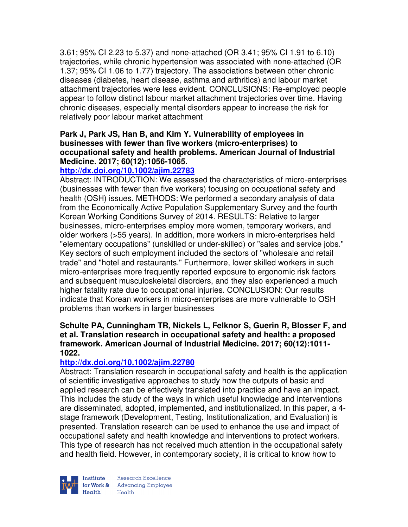3.61; 95% CI 2.23 to 5.37) and none-attached (OR 3.41; 95% CI 1.91 to 6.10) trajectories, while chronic hypertension was associated with none-attached (OR 1.37; 95% CI 1.06 to 1.77) trajectory. The associations between other chronic diseases (diabetes, heart disease, asthma and arthritics) and labour market attachment trajectories were less evident. CONCLUSIONS: Re-employed people appear to follow distinct labour market attachment trajectories over time. Having chronic diseases, especially mental disorders appear to increase the risk for relatively poor labour market attachment

### **Park J, Park JS, Han B, and Kim Y. Vulnerability of employees in businesses with fewer than five workers (micro-enterprises) to occupational safety and health problems. American Journal of Industrial Medicine. 2017; 60(12):1056-1065.**

# **http://dx.doi.org/10.1002/ajim.22783**

Abstract: INTRODUCTION: We assessed the characteristics of micro-enterprises (businesses with fewer than five workers) focusing on occupational safety and health (OSH) issues. METHODS: We performed a secondary analysis of data from the Economically Active Population Supplementary Survey and the fourth Korean Working Conditions Survey of 2014. RESULTS: Relative to larger businesses, micro-enterprises employ more women, temporary workers, and older workers (>55 years). In addition, more workers in micro-enterprises held "elementary occupations" (unskilled or under-skilled) or "sales and service jobs." Key sectors of such employment included the sectors of "wholesale and retail trade" and "hotel and restaurants." Furthermore, lower skilled workers in such micro-enterprises more frequently reported exposure to ergonomic risk factors and subsequent musculoskeletal disorders, and they also experienced a much higher fatality rate due to occupational injuries. CONCLUSION: Our results indicate that Korean workers in micro-enterprises are more vulnerable to OSH problems than workers in larger businesses

#### **Schulte PA, Cunningham TR, Nickels L, Felknor S, Guerin R, Blosser F, and et al. Translation research in occupational safety and health: a proposed framework. American Journal of Industrial Medicine. 2017; 60(12):1011- 1022.**

#### **http://dx.doi.org/10.1002/ajim.22780**

Abstract: Translation research in occupational safety and health is the application of scientific investigative approaches to study how the outputs of basic and applied research can be effectively translated into practice and have an impact. This includes the study of the ways in which useful knowledge and interventions are disseminated, adopted, implemented, and institutionalized. In this paper, a 4 stage framework (Development, Testing, Institutionalization, and Evaluation) is presented. Translation research can be used to enhance the use and impact of occupational safety and health knowledge and interventions to protect workers. This type of research has not received much attention in the occupational safety and health field. However, in contemporary society, it is critical to know how to



Research Excellence for Work & | Advancing Employee Health